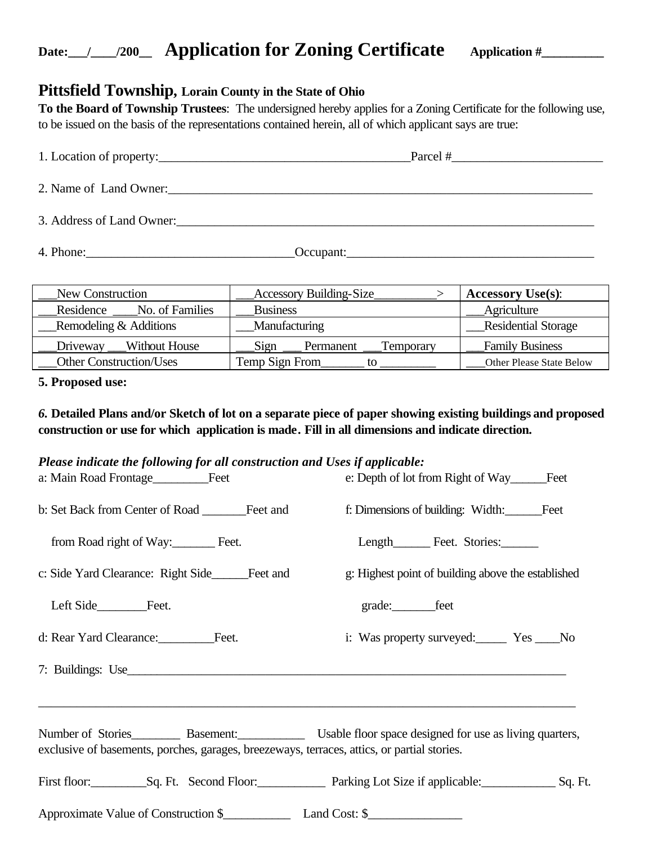## Date: 1 1200 **Application for Zoning Certificate** Application #

## **Pittsfield Township, Lorain County in the State of Ohio**

**To the Board of Township Trustees**: The undersigned hereby applies for a Zoning Certificate for the following use, to be issued on the basis of the representations contained herein, all of which applicant says are true:

| 1. Location of property:                                                                                       | $\text{Parcel}$ # |
|----------------------------------------------------------------------------------------------------------------|-------------------|
| 2. Name of Land Owner:                                                                                         |                   |
|                                                                                                                |                   |
| 4. Phone: 2008. 2008. 2010. 2010. 2010. 2010. 2010. 2010. 2010. 2010. 2010. 2010. 2010. 2010. 2010. 2010. 2010 | Occupant:         |

| New Construction               | <b>Accessory Building-Size</b> | <b>Accessory Use(s):</b>        |
|--------------------------------|--------------------------------|---------------------------------|
| Residence<br>No. of Families   | <b>Business</b>                | Agriculture                     |
| Remodeling & Additions         | Manufacturing                  | <b>Residential Storage</b>      |
| Without House<br>Driveway      | Sign<br>Permanent<br>Temporary | <b>Family Business</b>          |
| <b>Other Construction/Uses</b> | Temp Sign From                 | <b>Other Please State Below</b> |

### **5. Proposed use:**

### *6.* **Detailed Plans and/or Sketch of lot on a separate piece of paper showing existing buildings and proposed construction or use for which application is made***.* **Fill in all dimensions and indicate direction.**

#### *Please indicate the following for all construction and Uses if applicable:*

|                                                                                                                                                                                    | e: Depth of lot from Right of Way Feet                                     |
|------------------------------------------------------------------------------------------------------------------------------------------------------------------------------------|----------------------------------------------------------------------------|
|                                                                                                                                                                                    | f: Dimensions of building: Width: Feet                                     |
| from Road right of Way: Feet.                                                                                                                                                      | Length Feet. Stories:                                                      |
| c: Side Yard Clearance: Right Side<br>Feet and                                                                                                                                     | g: Highest point of building above the established                         |
| Left Side<br>Feet.                                                                                                                                                                 | grade:_________feet                                                        |
| d: Rear Yard Clearance: Feet.                                                                                                                                                      | i: Was property surveyed: Yes ______ No                                    |
|                                                                                                                                                                                    |                                                                            |
| Number of Stories Basement: Usable floor space designed for use as living quarters,<br>exclusive of basements, porches, garages, breezeways, terraces, attics, or partial stories. |                                                                            |
|                                                                                                                                                                                    | First floor: Sq. Ft. Second Floor: Parking Lot Size if applicable: Sq. Ft. |
| Approximate Value of Construction \$ Land Cost: \$                                                                                                                                 |                                                                            |